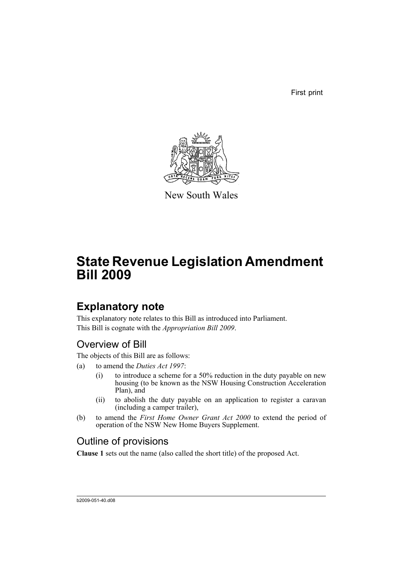First print



New South Wales

# **State Revenue Legislation Amendment Bill 2009**

# **Explanatory note**

This explanatory note relates to this Bill as introduced into Parliament. This Bill is cognate with the *Appropriation Bill 2009*.

# Overview of Bill

The objects of this Bill are as follows:

- (a) to amend the *Duties Act 1997*:
	- (i) to introduce a scheme for a 50% reduction in the duty payable on new housing (to be known as the NSW Housing Construction Acceleration Plan), and
	- (ii) to abolish the duty payable on an application to register a caravan (including a camper trailer),
- (b) to amend the *First Home Owner Grant Act 2000* to extend the period of operation of the NSW New Home Buyers Supplement.

# Outline of provisions

**Clause 1** sets out the name (also called the short title) of the proposed Act.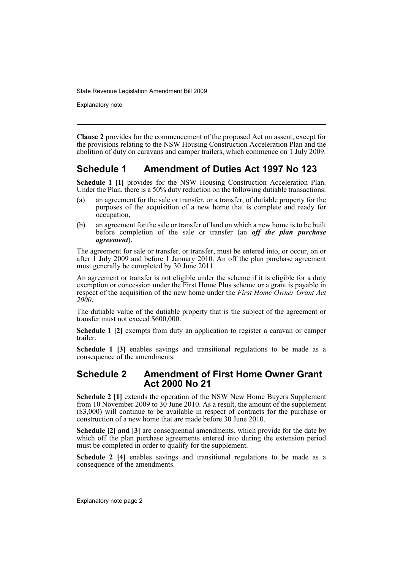Explanatory note

**Clause 2** provides for the commencement of the proposed Act on assent, except for the provisions relating to the NSW Housing Construction Acceleration Plan and the abolition of duty on caravans and camper trailers, which commence on 1 July 2009.

## **Schedule 1 Amendment of Duties Act 1997 No 123**

**Schedule 1 [1]** provides for the NSW Housing Construction Acceleration Plan. Under the Plan, there is a 50% duty reduction on the following dutiable transactions:

- (a) an agreement for the sale or transfer, or a transfer, of dutiable property for the purposes of the acquisition of a new home that is complete and ready for occupation,
- (b) an agreement for the sale or transfer of land on which a new home is to be built before completion of the sale or transfer (an *off the plan purchase agreement*).

The agreement for sale or transfer, or transfer, must be entered into, or occur, on or after 1 July 2009 and before 1 January 2010. An off the plan purchase agreement must generally be completed by 30 June 2011.

An agreement or transfer is not eligible under the scheme if it is eligible for a duty exemption or concession under the First Home Plus scheme or a grant is payable in respect of the acquisition of the new home under the *First Home Owner Grant Act 2000*.

The dutiable value of the dutiable property that is the subject of the agreement or transfer must not exceed \$600,000.

**Schedule 1 [2]** exempts from duty an application to register a caravan or camper trailer.

**Schedule 1 [3]** enables savings and transitional regulations to be made as a consequence of the amendments.

#### **Schedule 2 Amendment of First Home Owner Grant Act 2000 No 21**

**Schedule 2 [1]** extends the operation of the NSW New Home Buyers Supplement from 10 November 2009 to 30 June 2010. As a result, the amount of the supplement (\$3,000) will continue to be available in respect of contracts for the purchase or construction of a new home that are made before 30 June 2010.

**Schedule [2] and [3]** are consequential amendments, which provide for the date by which off the plan purchase agreements entered into during the extension period must be completed in order to qualify for the supplement.

**Schedule 2 [4]** enables savings and transitional regulations to be made as a consequence of the amendments.

Explanatory note page 2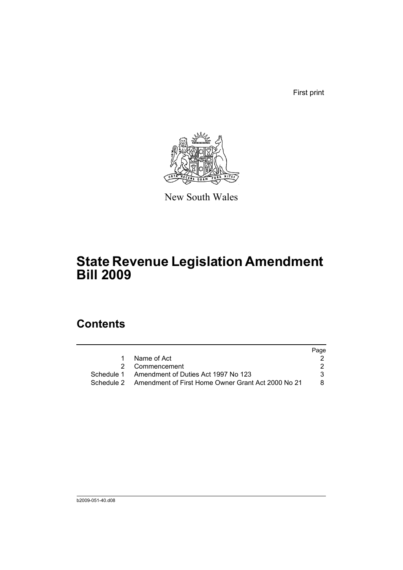First print



New South Wales

# **State Revenue Legislation Amendment Bill 2009**

# **Contents**

|                                                               | Page |
|---------------------------------------------------------------|------|
| Name of Act                                                   |      |
| 2 Commencement                                                |      |
| Schedule 1 Amendment of Duties Act 1997 No 123                |      |
| Schedule 2 Amendment of First Home Owner Grant Act 2000 No 21 | 8.   |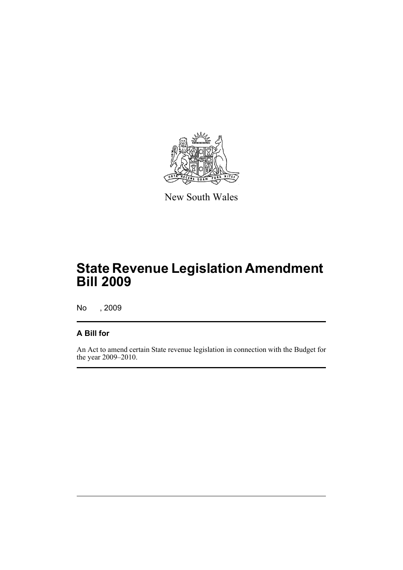

New South Wales

# **State Revenue Legislation Amendment Bill 2009**

No , 2009

### **A Bill for**

An Act to amend certain State revenue legislation in connection with the Budget for the year 2009–2010.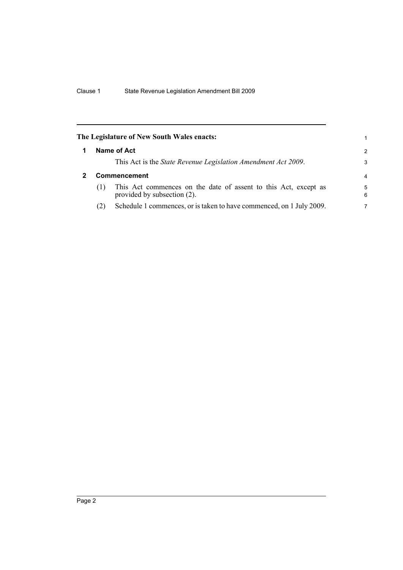<span id="page-5-1"></span><span id="page-5-0"></span>

|              | The Legislature of New South Wales enacts:                                                     | 1             |
|--------------|------------------------------------------------------------------------------------------------|---------------|
|              | Name of Act                                                                                    | $\mathcal{P}$ |
|              | This Act is the <i>State Revenue Legislation Amendment Act 2009</i> .                          | 3             |
| Commencement |                                                                                                |               |
| (1)          | This Act commences on the date of assent to this Act, except as<br>provided by subsection (2). | 5<br>6        |
| (2)          | Schedule 1 commences, or is taken to have commenced, on 1 July 2009.                           | 7             |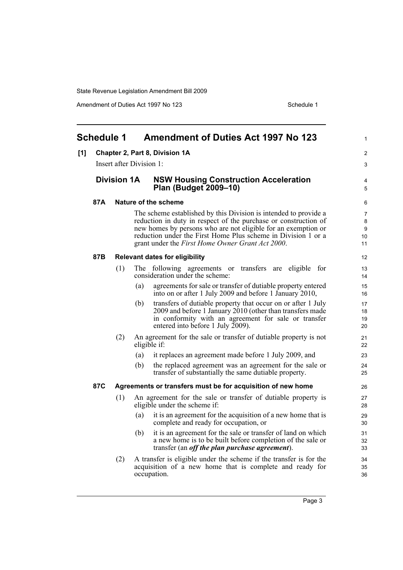Amendment of Duties Act 1997 No 123 Schedule 1

<span id="page-6-0"></span>

|     | <b>Schedule 1</b>        |                    |     | <b>Amendment of Duties Act 1997 No 123</b>                                                                                                                                                                                                                                                                                | 1                                    |
|-----|--------------------------|--------------------|-----|---------------------------------------------------------------------------------------------------------------------------------------------------------------------------------------------------------------------------------------------------------------------------------------------------------------------------|--------------------------------------|
| [1] |                          |                    |     | Chapter 2, Part 8, Division 1A                                                                                                                                                                                                                                                                                            | $\overline{2}$                       |
|     | Insert after Division 1: |                    |     |                                                                                                                                                                                                                                                                                                                           | 3                                    |
|     |                          | <b>Division 1A</b> |     | <b>NSW Housing Construction Acceleration</b><br>Plan (Budget 2009-10)                                                                                                                                                                                                                                                     | 4<br>5                               |
|     | 87A                      |                    |     | Nature of the scheme                                                                                                                                                                                                                                                                                                      | 6                                    |
|     |                          |                    |     | The scheme established by this Division is intended to provide a<br>reduction in duty in respect of the purchase or construction of<br>new homes by persons who are not eligible for an exemption or<br>reduction under the First Home Plus scheme in Division 1 or a<br>grant under the First Home Owner Grant Act 2000. | $\overline{7}$<br>8<br>9<br>10<br>11 |
|     | 87B                      |                    |     | <b>Relevant dates for eligibility</b>                                                                                                                                                                                                                                                                                     | 12                                   |
|     |                          | (1)                |     | The following agreements or transfers are eligible for<br>consideration under the scheme:                                                                                                                                                                                                                                 | 13<br>14                             |
|     |                          |                    | (a) | agreements for sale or transfer of dutiable property entered<br>into on or after 1 July 2009 and before 1 January 2010,                                                                                                                                                                                                   | 15<br>16                             |
|     |                          |                    | (b) | transfers of dutiable property that occur on or after 1 July<br>2009 and before 1 January 2010 (other than transfers made<br>in conformity with an agreement for sale or transfer<br>entered into before 1 July $2009$ ).                                                                                                 | 17<br>18<br>19<br>20                 |
|     |                          | (2)                |     | An agreement for the sale or transfer of dutiable property is not<br>eligible if:                                                                                                                                                                                                                                         | 21<br>22                             |
|     |                          |                    | (a) | it replaces an agreement made before 1 July 2009, and                                                                                                                                                                                                                                                                     | 23                                   |
|     |                          |                    | (b) | the replaced agreement was an agreement for the sale or<br>transfer of substantially the same dutiable property.                                                                                                                                                                                                          | 24<br>25                             |
|     | 87C                      |                    |     | Agreements or transfers must be for acquisition of new home                                                                                                                                                                                                                                                               | 26                                   |
|     |                          | (1)                |     | An agreement for the sale or transfer of dutiable property is<br>eligible under the scheme if:                                                                                                                                                                                                                            | 27<br>28                             |
|     |                          |                    | (a) | it is an agreement for the acquisition of a new home that is<br>complete and ready for occupation, or                                                                                                                                                                                                                     | 29<br>30                             |
|     |                          |                    | (b) | it is an agreement for the sale or transfer of land on which<br>a new home is to be built before completion of the sale or<br>transfer (an <i>off the plan purchase agreement</i> ).                                                                                                                                      | 31<br>32<br>33                       |
|     |                          | (2)                |     | A transfer is eligible under the scheme if the transfer is for the<br>acquisition of a new home that is complete and ready for<br>occupation.                                                                                                                                                                             | 34<br>35<br>36                       |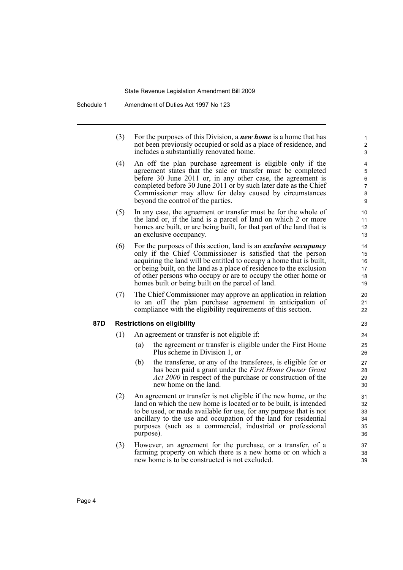| (3) | For the purposes of this Division, a <b>new home</b> is a home that has |
|-----|-------------------------------------------------------------------------|
|     | not been previously occupied or sold as a place of residence, and       |
|     | includes a substantially renovated home.                                |

- (4) An off the plan purchase agreement is eligible only if the agreement states that the sale or transfer must be completed before 30 June 2011 or, in any other case, the agreement is completed before 30 June 2011 or by such later date as the Chief Commissioner may allow for delay caused by circumstances beyond the control of the parties.
- (5) In any case, the agreement or transfer must be for the whole of the land or, if the land is a parcel of land on which 2 or more homes are built, or are being built, for that part of the land that is an exclusive occupancy.
- (6) For the purposes of this section, land is an *exclusive occupancy* only if the Chief Commissioner is satisfied that the person acquiring the land will be entitled to occupy a home that is built, or being built, on the land as a place of residence to the exclusion of other persons who occupy or are to occupy the other home or homes built or being built on the parcel of land.
- (7) The Chief Commissioner may approve an application in relation to an off the plan purchase agreement in anticipation of compliance with the eligibility requirements of this section.

#### **87D Restrictions on eligibility**

- (1) An agreement or transfer is not eligible if:
	- (a) the agreement or transfer is eligible under the First Home Plus scheme in Division 1, or
	- (b) the transferee, or any of the transferees, is eligible for or has been paid a grant under the *First Home Owner Grant Act 2000* in respect of the purchase or construction of the new home on the land.
- (2) An agreement or transfer is not eligible if the new home, or the land on which the new home is located or to be built, is intended to be used, or made available for use, for any purpose that is not ancillary to the use and occupation of the land for residential purposes (such as a commercial, industrial or professional purpose).
- (3) However, an agreement for the purchase, or a transfer, of a farming property on which there is a new home or on which a new home is to be constructed is not excluded.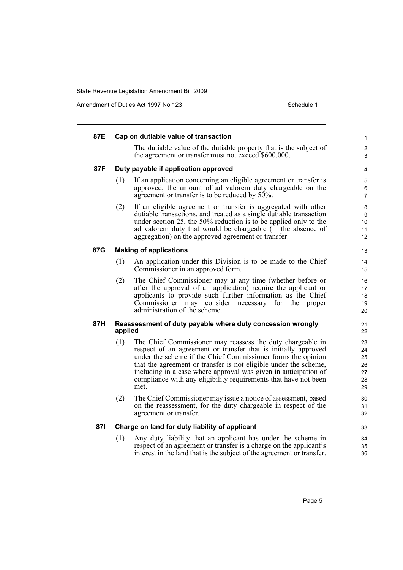Amendment of Duties Act 1997 No 123 Schedule 1

| 87E |         | Cap on dutiable value of transaction                                                                                                                                                                                                                                                                                                                                                                           | $\mathbf{1}$                           |
|-----|---------|----------------------------------------------------------------------------------------------------------------------------------------------------------------------------------------------------------------------------------------------------------------------------------------------------------------------------------------------------------------------------------------------------------------|----------------------------------------|
|     |         | The dutiable value of the dutiable property that is the subject of<br>the agreement or transfer must not exceed \$600,000.                                                                                                                                                                                                                                                                                     | 2<br>3                                 |
| 87F |         | Duty payable if application approved                                                                                                                                                                                                                                                                                                                                                                           | 4                                      |
|     | (1)     | If an application concerning an eligible agreement or transfer is<br>approved, the amount of ad valorem duty chargeable on the<br>agreement or transfer is to be reduced by 50%.                                                                                                                                                                                                                               | $\mathbf 5$<br>6<br>$\overline{7}$     |
|     | (2)     | If an eligible agreement or transfer is aggregated with other<br>dutiable transactions, and treated as a single dutiable transaction<br>under section 25, the 50% reduction is to be applied only to the<br>ad valorem duty that would be chargeable (in the absence of<br>aggregation) on the approved agreement or transfer.                                                                                 | 8<br>9<br>10<br>11<br>12               |
| 87G |         | <b>Making of applications</b>                                                                                                                                                                                                                                                                                                                                                                                  | 13                                     |
|     | (1)     | An application under this Division is to be made to the Chief<br>Commissioner in an approved form.                                                                                                                                                                                                                                                                                                             | 14<br>15                               |
|     | (2)     | The Chief Commissioner may at any time (whether before or<br>after the approval of an application) require the applicant or<br>applicants to provide such further information as the Chief<br>Commissioner may consider necessary for the proper<br>administration of the scheme.                                                                                                                              | 16<br>17<br>18<br>19<br>20             |
| 87H | applied | Reassessment of duty payable where duty concession wrongly                                                                                                                                                                                                                                                                                                                                                     | 21<br>22                               |
|     | (1)     | The Chief Commissioner may reassess the duty chargeable in<br>respect of an agreement or transfer that is initially approved<br>under the scheme if the Chief Commissioner forms the opinion<br>that the agreement or transfer is not eligible under the scheme,<br>including in a case where approval was given in anticipation of<br>compliance with any eligibility requirements that have not been<br>met. | 23<br>24<br>25<br>26<br>27<br>28<br>29 |
|     | (2)     | The Chief Commissioner may issue a notice of assessment, based<br>on the reassessment, for the duty chargeable in respect of the<br>agreement or transfer.                                                                                                                                                                                                                                                     | 30<br>31<br>32                         |
| 871 |         | Charge on land for duty liability of applicant                                                                                                                                                                                                                                                                                                                                                                 | 33                                     |
|     | (1)     | Any duty liability that an applicant has under the scheme in<br>respect of an agreement or transfer is a charge on the applicant's<br>interest in the land that is the subject of the agreement or transfer.                                                                                                                                                                                                   | 34<br>35<br>36                         |
|     |         |                                                                                                                                                                                                                                                                                                                                                                                                                |                                        |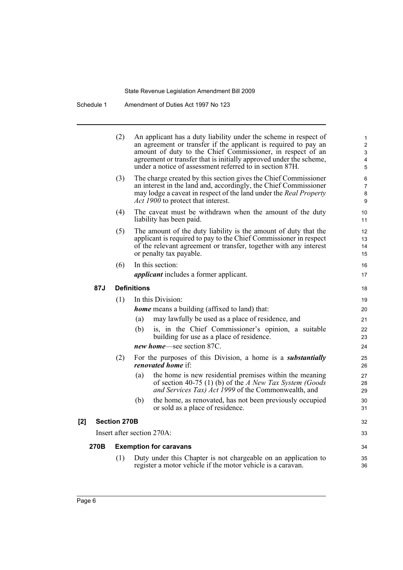Schedule 1 Amendment of Duties Act 1997 No 123

|               |                                                                     | (2)                 | An applicant has a duty liability under the scheme in respect of<br>an agreement or transfer if the applicant is required to pay an<br>amount of duty to the Chief Commissioner, in respect of an<br>agreement or transfer that is initially approved under the scheme,<br>under a notice of assessment referred to in section 87H. | 1<br>$\overline{c}$<br>3<br>$\overline{\mathbf{4}}$<br>5 |  |
|---------------|---------------------------------------------------------------------|---------------------|-------------------------------------------------------------------------------------------------------------------------------------------------------------------------------------------------------------------------------------------------------------------------------------------------------------------------------------|----------------------------------------------------------|--|
|               |                                                                     | (3)                 | The charge created by this section gives the Chief Commissioner<br>an interest in the land and, accordingly, the Chief Commissioner<br>may lodge a caveat in respect of the land under the Real Property<br><i>Act 1900</i> to protect that interest.                                                                               | 6<br>$\overline{7}$<br>8<br>9                            |  |
|               |                                                                     | (4)                 | The caveat must be withdrawn when the amount of the duty<br>liability has been paid.                                                                                                                                                                                                                                                | 10<br>11                                                 |  |
|               |                                                                     | (5)                 | The amount of the duty liability is the amount of duty that the<br>applicant is required to pay to the Chief Commissioner in respect<br>of the relevant agreement or transfer, together with any interest<br>or penalty tax payable.                                                                                                | 12<br>13<br>14<br>15                                     |  |
|               |                                                                     | (6)                 | In this section:<br><i>applicant</i> includes a former applicant.                                                                                                                                                                                                                                                                   | 16<br>17                                                 |  |
|               | 87J                                                                 | <b>Definitions</b>  |                                                                                                                                                                                                                                                                                                                                     |                                                          |  |
|               |                                                                     | (1)                 | In this Division:                                                                                                                                                                                                                                                                                                                   | 19                                                       |  |
|               |                                                                     |                     | <b>home</b> means a building (affixed to land) that:                                                                                                                                                                                                                                                                                | 20                                                       |  |
|               |                                                                     |                     | may lawfully be used as a place of residence, and<br>(a)                                                                                                                                                                                                                                                                            | 21                                                       |  |
|               |                                                                     |                     | is, in the Chief Commissioner's opinion, a suitable<br>(b)<br>building for use as a place of residence.                                                                                                                                                                                                                             | 22<br>23                                                 |  |
|               |                                                                     |                     | new home—see section 87C.                                                                                                                                                                                                                                                                                                           | 24                                                       |  |
|               |                                                                     | (2)                 | For the purposes of this Division, a home is a <i>substantially</i><br><i>renovated home</i> if:                                                                                                                                                                                                                                    | 25<br>26                                                 |  |
|               |                                                                     |                     | the home is new residential premises within the meaning<br>(a)<br>of section 40-75 (1) (b) of the A New Tax System (Goods<br>and Services Tax) Act 1999 of the Commonwealth, and                                                                                                                                                    | 27<br>28<br>29                                           |  |
|               |                                                                     |                     | (b)<br>the home, as renovated, has not been previously occupied<br>or sold as a place of residence.                                                                                                                                                                                                                                 | 30<br>31                                                 |  |
| $\mathsf{I2}$ |                                                                     | <b>Section 270B</b> |                                                                                                                                                                                                                                                                                                                                     | 32                                                       |  |
|               | Insert after section 270A:<br>270B<br><b>Exemption for caravans</b> |                     |                                                                                                                                                                                                                                                                                                                                     | 33                                                       |  |
|               |                                                                     |                     |                                                                                                                                                                                                                                                                                                                                     | 34                                                       |  |
|               |                                                                     | (1)                 | Duty under this Chapter is not chargeable on an application to<br>register a motor vehicle if the motor vehicle is a caravan.                                                                                                                                                                                                       | 35<br>36                                                 |  |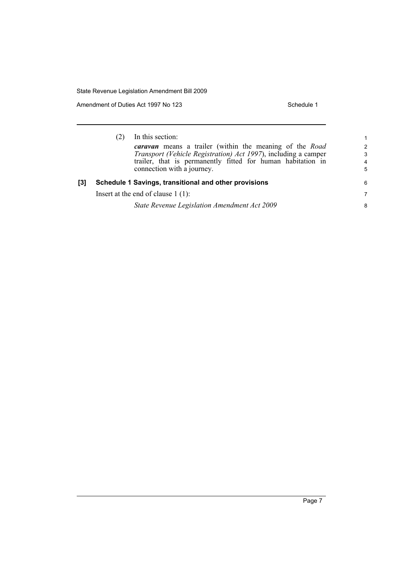Amendment of Duties Act 1997 No 123 Schedule 1

|     | In this section:<br><b><i>caravan</i></b> means a trailer (within the meaning of the Road<br>Transport (Vehicle Registration) Act 1997), including a camper<br>trailer, that is permanently fitted for human habitation in<br>connection with a journey. | $\mathbf 1$<br>2<br>3<br>4<br>5 |
|-----|----------------------------------------------------------------------------------------------------------------------------------------------------------------------------------------------------------------------------------------------------------|---------------------------------|
| [3] | Schedule 1 Savings, transitional and other provisions<br>Insert at the end of clause $1(1)$ :<br>State Revenue Legislation Amendment Act 2009                                                                                                            | 6<br>7<br>8                     |